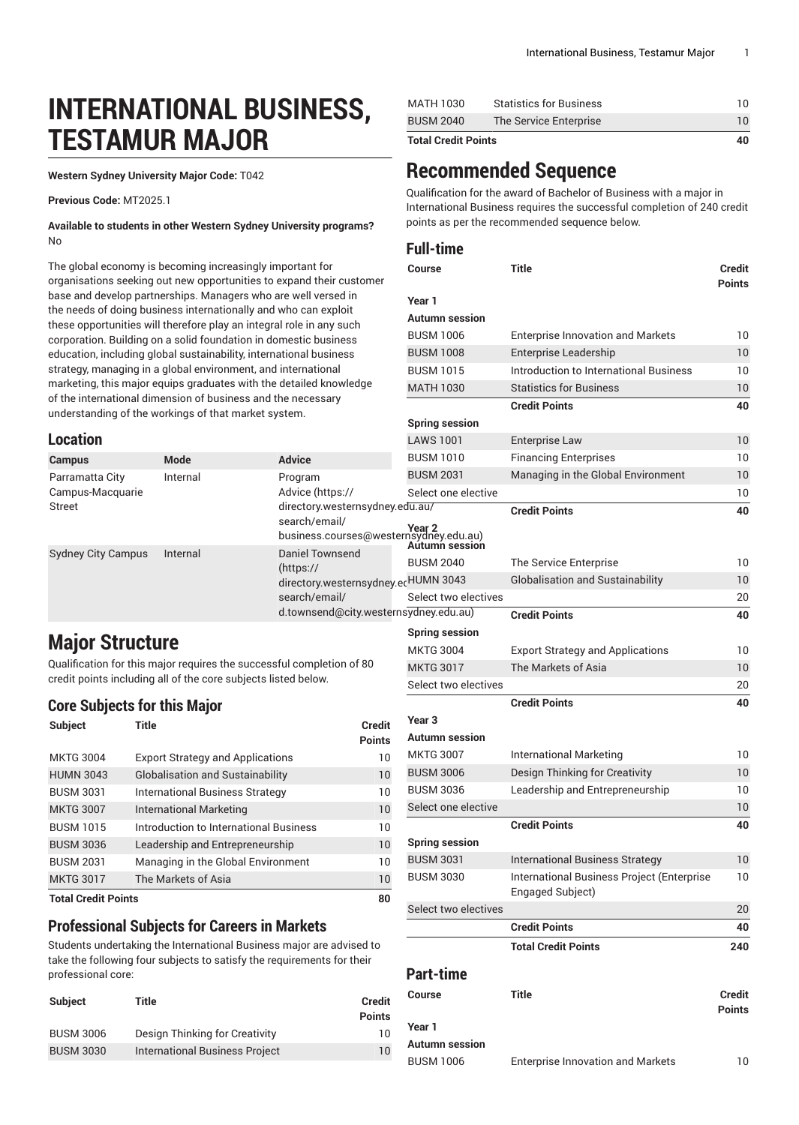# **INTERNATIONAL BUSINESS, TESTAMUR MAJOR**

**Western Sydney University Major Code:** T042

**Previous Code:** MT2025.1

**Available to students in other Western Sydney University programs?** No

The global economy is becoming increasingly important for organisations seeking out new opportunities to expand their customer base and develop partnerships. Managers who are well versed in the needs of doing business internationally and who can exploit these opportunities will therefore play an integral role in any such corporation. Building on a solid foundation in domestic business education, including global sustainability, international business strategy, managing in a global environment, and international marketing, this major equips graduates with the detailed knowledge of the international dimension of business and the necessary understanding of the workings of that market system.

#### **Location**

| Location                                      |          |                                                                                             | LAWS 1001                                 | Enterprise Law                                             |
|-----------------------------------------------|----------|---------------------------------------------------------------------------------------------|-------------------------------------------|------------------------------------------------------------|
| <b>Campus</b>                                 | Mode     | <b>Advice</b>                                                                               | <b>BUSM 1010</b>                          | <b>Financing Enterprises</b>                               |
| Parramatta City<br>Campus-Macquarie<br>Street | Internal | Program<br>Advice (https://<br>directory.westernsydney.edu.au/                              | <b>BUSM 2031</b><br>Select one elective   | Managing in the Global Environment<br><b>Credit Points</b> |
| <b>Sydney City Campus</b>                     | Internal | search/email/<br><b>Year 2</b><br>business.courses@westernsydney.edu.au)<br>Daniel Townsend | Autumn session                            |                                                            |
|                                               |          | (htps://                                                                                    | <b>BUSM 2040</b>                          | The Service Enterprise                                     |
|                                               |          | directory.westernsydney.erHUMN 3043                                                         |                                           | <b>Globalisation and Sustainability</b>                    |
|                                               |          | search/email/                                                                               | Select two electives                      |                                                            |
|                                               |          | d.townsend@city.westernsydney.edu.au)                                                       |                                           | <b>Credit Points</b>                                       |
| <b>Major Structure</b>                        |          |                                                                                             | <b>Spring session</b><br><b>MITC 3004</b> | Evnort Strategy and Applications                           |

Qualification for this major requires the successful completion of 80 credit points including all of the core subjects listed below.

#### **Core Subjects for this Major**

| <b>Subject</b>             | Title                                   | <b>Credit</b><br><b>Points</b> |
|----------------------------|-----------------------------------------|--------------------------------|
| <b>MKTG 3004</b>           | <b>Export Strategy and Applications</b> | 10                             |
| <b>HUMN 3043</b>           | <b>Globalisation and Sustainability</b> | 10                             |
| <b>BUSM 3031</b>           | <b>International Business Strategy</b>  | 10                             |
| <b>MKTG 3007</b>           | International Marketing                 | 10                             |
| <b>BUSM 1015</b>           | Introduction to International Business  | 10                             |
| <b>BUSM 3036</b>           | Leadership and Entrepreneurship         | 10                             |
| <b>BUSM 2031</b>           | Managing in the Global Environment      | 10                             |
| <b>MKTG 3017</b>           | The Markets of Asia                     | 10                             |
| <b>Total Credit Points</b> |                                         | 80                             |

#### **Professional Subjects for Careers in Markets**

Students undertaking the International Business major are advised to take the following four subjects to satisfy the requirements for their professional core:

| <b>Subject</b>   | Title                                 | <b>Credit</b> |
|------------------|---------------------------------------|---------------|
|                  |                                       | <b>Points</b> |
| <b>BUSM 3006</b> | Design Thinking for Creativity        | 10            |
| <b>BUSM 3030</b> | <b>International Business Project</b> | 10            |

| Total Cradit Dainte |                                |    |
|---------------------|--------------------------------|----|
| <b>BUSM 2040</b>    | The Service Enterprise         |    |
| MATH 1030           | <b>Statistics for Business</b> | 10 |

**Total Credit Points 40**

## **Recommended Sequence**

Qualification for the award of Bachelor of Business with a major in International Business requires the successful completion of 240 credit points as per the recommended sequence below.

#### **Full-time**

| <b>Course</b>                               | Title                                                          | <b>Credit</b><br><b>Points</b> |
|---------------------------------------------|----------------------------------------------------------------|--------------------------------|
| Year 1                                      |                                                                |                                |
| <b>Autumn session</b>                       |                                                                |                                |
| <b>BUSM 1006</b>                            | <b>Enterprise Innovation and Markets</b>                       | 10                             |
| <b>BUSM 1008</b>                            | <b>Enterprise Leadership</b>                                   | 10                             |
| <b>BUSM 1015</b>                            | Introduction to International Business                         | 10                             |
| <b>MATH 1030</b>                            | <b>Statistics for Business</b>                                 | 10                             |
|                                             | <b>Credit Points</b>                                           | 40                             |
| <b>Spring session</b>                       |                                                                |                                |
| <b>LAWS 1001</b>                            | <b>Enterprise Law</b>                                          | 10                             |
| <b>BUSM 1010</b>                            | <b>Financing Enterprises</b>                                   | 10                             |
| <b>BUSM 2031</b>                            | Managing in the Global Environment                             | 10                             |
| Select one elective                         |                                                                | 10                             |
| Ju.au/                                      | <b>Credit Points</b>                                           | 40                             |
| Year 2<br>nsydney.edu.au)<br>Autumn session |                                                                |                                |
| <b>BUSM 2040</b>                            | The Service Enterprise                                         | 10                             |
| <b>HUMN 3043</b>                            | <b>Globalisation and Sustainability</b>                        | 10                             |
| Select two electives                        |                                                                | 20                             |
| ydney.edu.au)                               | <b>Credit Points</b>                                           | 40                             |
| <b>Spring session</b>                       |                                                                |                                |
| <b>MKTG 3004</b>                            | <b>Export Strategy and Applications</b>                        | 10                             |
| <b>MKTG 3017</b>                            | The Markets of Asia                                            | 10                             |
| Select two electives                        |                                                                | 20                             |
|                                             | <b>Credit Points</b>                                           | 40                             |
| Year 3                                      |                                                                |                                |
| <b>Autumn session</b>                       |                                                                |                                |
| <b>MKTG 3007</b>                            | International Marketing                                        | 10                             |
| <b>BUSM 3006</b>                            | Design Thinking for Creativity                                 | 10                             |
| <b>BUSM 3036</b>                            | Leadership and Entrepreneurship                                | 10                             |
| Select one elective                         |                                                                | 10                             |
|                                             | <b>Credit Points</b>                                           | 40                             |
| <b>Spring session</b>                       |                                                                |                                |
| <b>BUSM 3031</b>                            | International Business Strategy                                | 10                             |
| <b>BUSM 3030</b>                            | International Business Project (Enterprise<br>Engaged Subject) | 10                             |
| Select two electives                        |                                                                | 20                             |
|                                             | <b>Credit Points</b>                                           | 40                             |
|                                             | <b>Total Credit Points</b>                                     | 240                            |
| <b>Part-time</b>                            |                                                                |                                |
| Course                                      | <b>Title</b>                                                   | <b>Credit</b><br><b>Points</b> |
| Year 1                                      |                                                                |                                |
| <b>Autumn session</b>                       |                                                                |                                |
| <b>BUSM 1006</b>                            | <b>Enterprise Innovation and Markets</b>                       | 10                             |
|                                             |                                                                |                                |